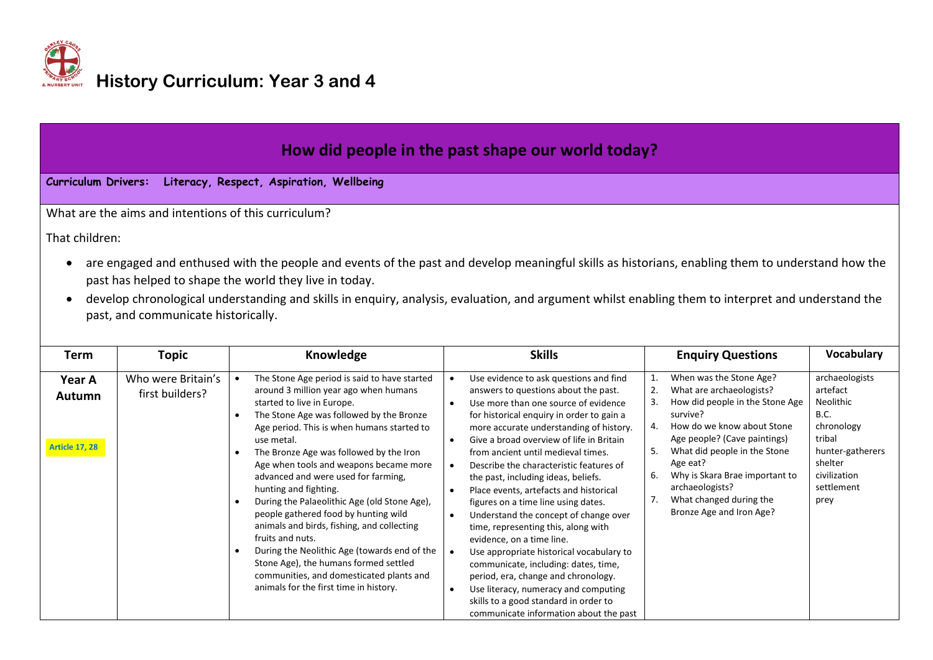

| How did people in the past shape our world today?                                                                                                                                                                                                                                                                                                                                                                                                                                              |                                       |                                                                                                                                                                                                                                                                                                                                                                                                                                                                                                                                                                                                                                                                                                                                                     |                                                                                                                                                                                                                                                                                                                                                                                                                                                                                                                                                                                                                                                                                                                                                                                                         |                                                                                                                                                                                                                                                                                                                                                  |                                                                                                                                                     |  |  |  |
|------------------------------------------------------------------------------------------------------------------------------------------------------------------------------------------------------------------------------------------------------------------------------------------------------------------------------------------------------------------------------------------------------------------------------------------------------------------------------------------------|---------------------------------------|-----------------------------------------------------------------------------------------------------------------------------------------------------------------------------------------------------------------------------------------------------------------------------------------------------------------------------------------------------------------------------------------------------------------------------------------------------------------------------------------------------------------------------------------------------------------------------------------------------------------------------------------------------------------------------------------------------------------------------------------------------|---------------------------------------------------------------------------------------------------------------------------------------------------------------------------------------------------------------------------------------------------------------------------------------------------------------------------------------------------------------------------------------------------------------------------------------------------------------------------------------------------------------------------------------------------------------------------------------------------------------------------------------------------------------------------------------------------------------------------------------------------------------------------------------------------------|--------------------------------------------------------------------------------------------------------------------------------------------------------------------------------------------------------------------------------------------------------------------------------------------------------------------------------------------------|-----------------------------------------------------------------------------------------------------------------------------------------------------|--|--|--|
| <b>Curriculum Drivers:</b>                                                                                                                                                                                                                                                                                                                                                                                                                                                                     |                                       | Literacy, Respect, Aspiration, Wellbeing                                                                                                                                                                                                                                                                                                                                                                                                                                                                                                                                                                                                                                                                                                            |                                                                                                                                                                                                                                                                                                                                                                                                                                                                                                                                                                                                                                                                                                                                                                                                         |                                                                                                                                                                                                                                                                                                                                                  |                                                                                                                                                     |  |  |  |
| What are the aims and intentions of this curriculum?<br>That children:<br>are engaged and enthused with the people and events of the past and develop meaningful skills as historians, enabling them to understand how the<br>past has helped to shape the world they live in today.<br>develop chronological understanding and skills in enquiry, analysis, evaluation, and argument whilst enabling them to interpret and understand the<br>$\bullet$<br>past, and communicate historically. |                                       |                                                                                                                                                                                                                                                                                                                                                                                                                                                                                                                                                                                                                                                                                                                                                     |                                                                                                                                                                                                                                                                                                                                                                                                                                                                                                                                                                                                                                                                                                                                                                                                         |                                                                                                                                                                                                                                                                                                                                                  |                                                                                                                                                     |  |  |  |
| <b>Term</b>                                                                                                                                                                                                                                                                                                                                                                                                                                                                                    | <b>Topic</b>                          | Knowledge                                                                                                                                                                                                                                                                                                                                                                                                                                                                                                                                                                                                                                                                                                                                           | <b>Skills</b>                                                                                                                                                                                                                                                                                                                                                                                                                                                                                                                                                                                                                                                                                                                                                                                           | <b>Enquiry Questions</b>                                                                                                                                                                                                                                                                                                                         | Vocabulary                                                                                                                                          |  |  |  |
| Year A<br>Autumn<br><b>Article 17, 28</b>                                                                                                                                                                                                                                                                                                                                                                                                                                                      | Who were Britain's<br>first builders? | The Stone Age period is said to have started<br>$\bullet$<br>around 3 million year ago when humans<br>started to live in Europe.<br>The Stone Age was followed by the Bronze<br>$\bullet$<br>Age period. This is when humans started to<br>use metal.<br>The Bronze Age was followed by the Iron<br>Age when tools and weapons became more<br>advanced and were used for farming,<br>hunting and fighting.<br>During the Palaeolithic Age (old Stone Age),<br>people gathered food by hunting wild<br>animals and birds, fishing, and collecting<br>fruits and nuts.<br>During the Neolithic Age (towards end of the<br>Stone Age), the humans formed settled<br>communities, and domesticated plants and<br>animals for the first time in history. | Use evidence to ask questions and find<br>answers to questions about the past.<br>Use more than one source of evidence<br>$\bullet$<br>for historical enquiry in order to gain a<br>more accurate understanding of history.<br>Give a broad overview of life in Britain<br>$\bullet$<br>from ancient until medieval times.<br>Describe the characteristic features of<br>$\bullet$<br>the past, including ideas, beliefs.<br>Place events, artefacts and historical<br>figures on a time line using dates.<br>Understand the concept of change over<br>time, representing this, along with<br>evidence, on a time line.<br>Use appropriate historical vocabulary to<br>communicate, including: dates, time,<br>period, era, change and chronology.<br>Use literacy, numeracy and computing<br>$\bullet$ | When was the Stone Age?<br>1.<br>What are archaeologists?<br>How did people in the Stone Age<br>survive?<br>How do we know about Stone<br>Age people? (Cave paintings)<br>What did people in the Stone<br>5.<br>Age eat?<br>Why is Skara Brae important to<br>6.<br>archaeologists?<br>What changed during the<br>7.<br>Bronze Age and Iron Age? | archaeologists<br>artefact<br>Neolithic<br><b>B.C.</b><br>chronology<br>tribal<br>hunter-gatherers<br>shelter<br>civilization<br>settlement<br>prey |  |  |  |

 Use literacy, numeracy and computing skills to a good standard in order to communicate information about the past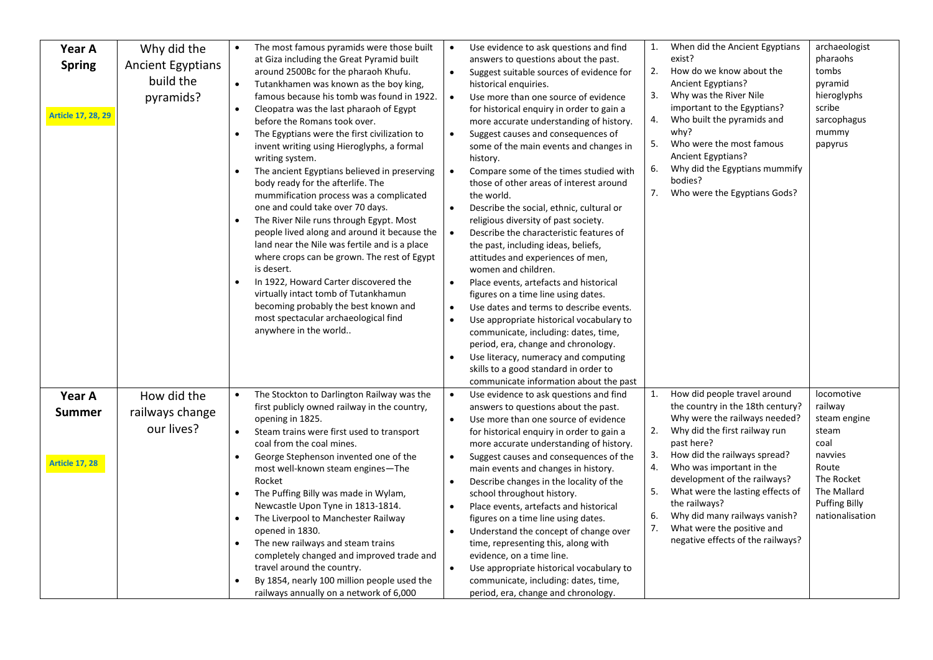| Year A                    | Why did the              |           | The most famous pyramids were those built                                     | $\bullet$ | Use evidence to ask questions and find                                            | 1. | When did the Ancient Egyptians                            | archaeologist         |
|---------------------------|--------------------------|-----------|-------------------------------------------------------------------------------|-----------|-----------------------------------------------------------------------------------|----|-----------------------------------------------------------|-----------------------|
| <b>Spring</b>             | <b>Ancient Egyptians</b> |           | at Giza including the Great Pyramid built                                     |           | answers to questions about the past.                                              |    | exist?                                                    | pharaohs              |
|                           | build the                |           | around 2500Bc for the pharaoh Khufu.                                          | $\bullet$ | Suggest suitable sources of evidence for                                          | 2. | How do we know about the                                  | tombs                 |
|                           |                          | $\bullet$ | Tutankhamen was known as the boy king,                                        |           | historical enquiries.                                                             |    | Ancient Egyptians?                                        | pyramid               |
|                           | pyramids?                |           | famous because his tomb was found in 1922.                                    | $\bullet$ | Use more than one source of evidence                                              | 3. | Why was the River Nile                                    | hieroglyphs<br>scribe |
| <b>Article 17, 28, 29</b> |                          | $\bullet$ | Cleopatra was the last pharaoh of Egypt                                       |           | for historical enquiry in order to gain a                                         | 4. | important to the Egyptians?<br>Who built the pyramids and | sarcophagus           |
|                           |                          | $\bullet$ | before the Romans took over.<br>The Egyptians were the first civilization to  | $\bullet$ | more accurate understanding of history.<br>Suggest causes and consequences of     |    | why?                                                      | mummy                 |
|                           |                          |           | invent writing using Hieroglyphs, a formal                                    |           | some of the main events and changes in                                            | 5. | Who were the most famous                                  | papyrus               |
|                           |                          |           | writing system.                                                               |           | history.                                                                          |    | Ancient Egyptians?                                        |                       |
|                           |                          |           | The ancient Egyptians believed in preserving                                  | $\bullet$ | Compare some of the times studied with                                            | 6. | Why did the Egyptians mummify                             |                       |
|                           |                          |           | body ready for the afterlife. The                                             |           | those of other areas of interest around                                           |    | bodies?                                                   |                       |
|                           |                          |           | mummification process was a complicated                                       |           | the world.                                                                        | 7. | Who were the Egyptians Gods?                              |                       |
|                           |                          |           | one and could take over 70 days.                                              | $\bullet$ | Describe the social, ethnic, cultural or                                          |    |                                                           |                       |
|                           |                          |           | The River Nile runs through Egypt. Most                                       |           | religious diversity of past society.                                              |    |                                                           |                       |
|                           |                          |           | people lived along and around it because the                                  | $\bullet$ | Describe the characteristic features of                                           |    |                                                           |                       |
|                           |                          |           | land near the Nile was fertile and is a place                                 |           | the past, including ideas, beliefs,                                               |    |                                                           |                       |
|                           |                          |           | where crops can be grown. The rest of Egypt                                   |           | attitudes and experiences of men,                                                 |    |                                                           |                       |
|                           |                          |           | is desert.                                                                    |           | women and children.                                                               |    |                                                           |                       |
|                           |                          |           | In 1922, Howard Carter discovered the<br>virtually intact tomb of Tutankhamun | $\bullet$ | Place events, artefacts and historical                                            |    |                                                           |                       |
|                           |                          |           | becoming probably the best known and                                          | $\bullet$ | figures on a time line using dates.<br>Use dates and terms to describe events.    |    |                                                           |                       |
|                           |                          |           | most spectacular archaeological find                                          | $\bullet$ | Use appropriate historical vocabulary to                                          |    |                                                           |                       |
|                           |                          |           | anywhere in the world                                                         |           | communicate, including: dates, time,                                              |    |                                                           |                       |
|                           |                          |           |                                                                               |           | period, era, change and chronology.                                               |    |                                                           |                       |
|                           |                          |           |                                                                               | $\bullet$ | Use literacy, numeracy and computing                                              |    |                                                           |                       |
|                           |                          |           |                                                                               |           | skills to a good standard in order to                                             |    |                                                           |                       |
|                           |                          |           |                                                                               |           | communicate information about the past                                            |    |                                                           |                       |
| Year A                    | How did the              |           | The Stockton to Darlington Railway was the                                    | $\bullet$ | Use evidence to ask questions and find                                            | 1. | How did people travel around                              | locomotive            |
| <b>Summer</b>             | railways change          |           | first publicly owned railway in the country,                                  |           | answers to questions about the past.                                              |    | the country in the 18th century?                          | railway               |
|                           | our lives?               |           | opening in 1825.                                                              | $\bullet$ | Use more than one source of evidence                                              |    | Why were the railways needed?                             | steam engine          |
|                           |                          | $\bullet$ | Steam trains were first used to transport                                     |           | for historical enquiry in order to gain a                                         | 2. | Why did the first railway run                             | steam<br>coal         |
|                           |                          |           | coal from the coal mines.<br>George Stephenson invented one of the            | $\bullet$ | more accurate understanding of history.<br>Suggest causes and consequences of the | 3. | past here?<br>How did the railways spread?                | navvies               |
| <b>Article 17, 28</b>     |                          |           | most well-known steam engines-The                                             |           | main events and changes in history.                                               |    | Who was important in the                                  | Route                 |
|                           |                          |           | Rocket                                                                        | $\bullet$ | Describe changes in the locality of the                                           |    | development of the railways?                              | The Rocket            |
|                           |                          | $\bullet$ | The Puffing Billy was made in Wylam,                                          |           | school throughout history.                                                        | 5. | What were the lasting effects of                          | The Mallard           |
|                           |                          |           | Newcastle Upon Tyne in 1813-1814.                                             | $\bullet$ | Place events, artefacts and historical                                            |    | the railways?                                             | <b>Puffing Billy</b>  |
|                           |                          |           | The Liverpool to Manchester Railway                                           |           | figures on a time line using dates.                                               | 6. | Why did many railways vanish?                             | nationalisation       |
|                           |                          |           | opened in 1830.                                                               | $\bullet$ | Understand the concept of change over                                             | 7. | What were the positive and                                |                       |
|                           |                          |           | The new railways and steam trains                                             |           | time, representing this, along with                                               |    | negative effects of the railways?                         |                       |
|                           |                          |           | completely changed and improved trade and                                     |           | evidence, on a time line.                                                         |    |                                                           |                       |
|                           |                          |           | travel around the country.                                                    |           | Use appropriate historical vocabulary to                                          |    |                                                           |                       |
|                           |                          |           | By 1854, nearly 100 million people used the                                   |           | communicate, including: dates, time,                                              |    |                                                           |                       |
|                           |                          |           | railways annually on a network of 6,000                                       |           | period, era, change and chronology.                                               |    |                                                           |                       |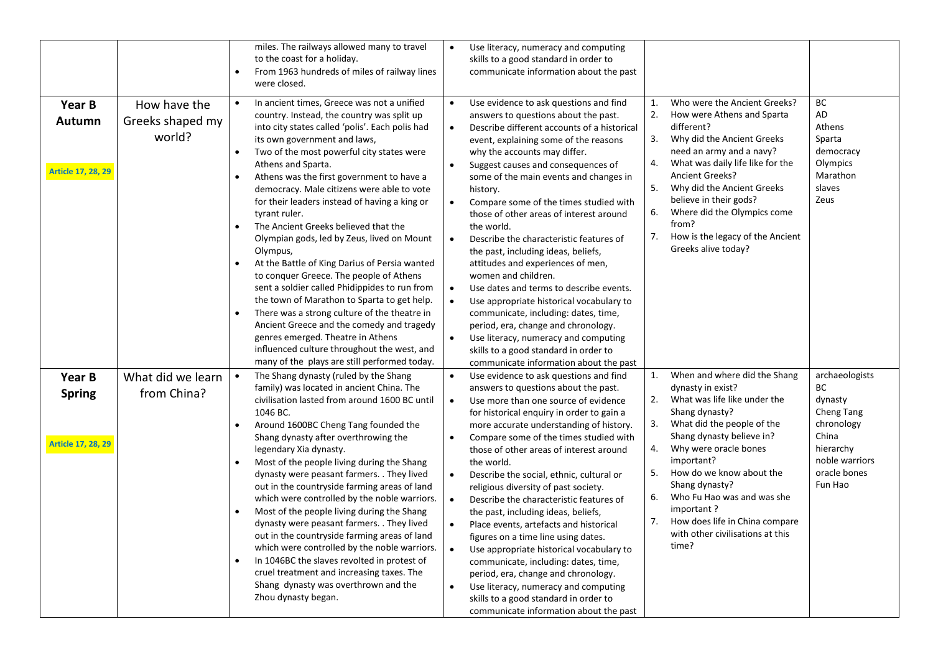|                                                      |                                            | miles. The railways allowed many to travel<br>to the coast for a holiday.<br>From 1963 hundreds of miles of railway lines<br>$\bullet$<br>were closed.                                                                                                                                                                                                                                                                                                                                                                                                                                                                                                                                                                                                                                                                                                                                                                                                                   |                                                                                         | Use literacy, numeracy and computing<br>skills to a good standard in order to<br>communicate information about the past                                                                                                                                                                                                                                                                                                                                                                                                                                                                                                                                                                                                                                                                                                                                                  |                                        |                                                                                                                                                                                                                                                                                                                                                                                |                                                                                                                                |
|------------------------------------------------------|--------------------------------------------|--------------------------------------------------------------------------------------------------------------------------------------------------------------------------------------------------------------------------------------------------------------------------------------------------------------------------------------------------------------------------------------------------------------------------------------------------------------------------------------------------------------------------------------------------------------------------------------------------------------------------------------------------------------------------------------------------------------------------------------------------------------------------------------------------------------------------------------------------------------------------------------------------------------------------------------------------------------------------|-----------------------------------------------------------------------------------------|--------------------------------------------------------------------------------------------------------------------------------------------------------------------------------------------------------------------------------------------------------------------------------------------------------------------------------------------------------------------------------------------------------------------------------------------------------------------------------------------------------------------------------------------------------------------------------------------------------------------------------------------------------------------------------------------------------------------------------------------------------------------------------------------------------------------------------------------------------------------------|----------------------------------------|--------------------------------------------------------------------------------------------------------------------------------------------------------------------------------------------------------------------------------------------------------------------------------------------------------------------------------------------------------------------------------|--------------------------------------------------------------------------------------------------------------------------------|
| Year B<br><b>Autumn</b><br><b>Article 17, 28, 29</b> | How have the<br>Greeks shaped my<br>world? | In ancient times, Greece was not a unified<br>$\bullet$<br>country. Instead, the country was split up<br>into city states called 'polis'. Each polis had<br>its own government and laws,<br>Two of the most powerful city states were<br>$\bullet$<br>Athens and Sparta.<br>Athens was the first government to have a<br>$\bullet$<br>democracy. Male citizens were able to vote<br>for their leaders instead of having a king or<br>tyrant ruler.<br>The Ancient Greeks believed that the<br>$\bullet$<br>Olympian gods, led by Zeus, lived on Mount<br>Olympus,<br>At the Battle of King Darius of Persia wanted<br>$\bullet$<br>to conquer Greece. The people of Athens<br>sent a soldier called Phidippides to run from<br>the town of Marathon to Sparta to get help.<br>There was a strong culture of the theatre in<br>$\bullet$<br>Ancient Greece and the comedy and tragedy<br>genres emerged. Theatre in Athens<br>influenced culture throughout the west, and | $\bullet$<br>$\bullet$<br>$\bullet$<br>$\bullet$<br>$\bullet$<br>$\bullet$<br>$\bullet$ | Use evidence to ask questions and find<br>answers to questions about the past.<br>Describe different accounts of a historical<br>event, explaining some of the reasons<br>why the accounts may differ.<br>Suggest causes and consequences of<br>some of the main events and changes in<br>history.<br>Compare some of the times studied with<br>those of other areas of interest around<br>the world.<br>Describe the characteristic features of<br>the past, including ideas, beliefs,<br>attitudes and experiences of men,<br>women and children.<br>Use dates and terms to describe events.<br>Use appropriate historical vocabulary to<br>communicate, including: dates, time,<br>period, era, change and chronology.<br>Use literacy, numeracy and computing<br>skills to a good standard in order to                                                               | 1.<br>2.<br>3.<br>4.<br>5.<br>6.<br>7. | Who were the Ancient Greeks?<br>How were Athens and Sparta<br>different?<br>Why did the Ancient Greeks<br>need an army and a navy?<br>What was daily life like for the<br><b>Ancient Greeks?</b><br>Why did the Ancient Greeks<br>believe in their gods?<br>Where did the Olympics come<br>from?<br>How is the legacy of the Ancient<br>Greeks alive today?                    | BC<br>AD<br>Athens<br>Sparta<br>democracy<br>Olympics<br>Marathon<br>slaves<br>Zeus                                            |
| Year B<br><b>Spring</b><br><b>Article 17, 28, 29</b> | What did we learn<br>from China?           | many of the plays are still performed today.<br>The Shang dynasty (ruled by the Shang<br>family) was located in ancient China. The<br>civilisation lasted from around 1600 BC until<br>1046 BC.<br>Around 1600BC Cheng Tang founded the<br>Shang dynasty after overthrowing the<br>legendary Xia dynasty.<br>Most of the people living during the Shang<br>$\bullet$<br>dynasty were peasant farmers. . They lived<br>out in the countryside farming areas of land<br>which were controlled by the noble warriors.<br>Most of the people living during the Shang<br>$\bullet$<br>dynasty were peasant farmers. . They lived<br>out in the countryside farming areas of land<br>which were controlled by the noble warriors.<br>In 1046BC the slaves revolted in protest of<br>$\bullet$<br>cruel treatment and increasing taxes. The<br>Shang dynasty was overthrown and the<br>Zhou dynasty began.                                                                      | $\bullet$<br>$\bullet$<br>$\bullet$<br>$\bullet$<br>$\bullet$<br>$\bullet$              | communicate information about the past<br>Use evidence to ask questions and find<br>answers to questions about the past.<br>Use more than one source of evidence<br>for historical enquiry in order to gain a<br>more accurate understanding of history.<br>Compare some of the times studied with<br>those of other areas of interest around<br>the world.<br>Describe the social, ethnic, cultural or<br>religious diversity of past society.<br>Describe the characteristic features of<br>the past, including ideas, beliefs,<br>Place events, artefacts and historical<br>figures on a time line using dates.<br>Use appropriate historical vocabulary to<br>communicate, including: dates, time,<br>period, era, change and chronology.<br>Use literacy, numeracy and computing<br>skills to a good standard in order to<br>communicate information about the past | 1.<br>2.<br>3.<br>4.<br>5.<br>6.<br>7. | When and where did the Shang<br>dynasty in exist?<br>What was life like under the<br>Shang dynasty?<br>What did the people of the<br>Shang dynasty believe in?<br>Why were oracle bones<br>important?<br>How do we know about the<br>Shang dynasty?<br>Who Fu Hao was and was she<br>important?<br>How does life in China compare<br>with other civilisations at this<br>time? | archaeologists<br>BС<br>dynasty<br>Cheng Tang<br>chronology<br>China<br>hierarchy<br>noble warriors<br>oracle bones<br>Fun Hao |